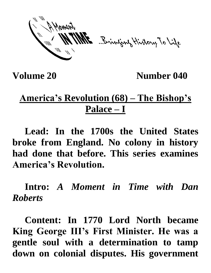ME Brinjang History To Life

**Volume 20 Number 040**

## **America's Revolution (68) – The Bishop's Palace – I**

**Lead: In the 1700s the United States broke from England. No colony in history had done that before. This series examines America's Revolution.**

**Intro:** *A Moment in Time with Dan Roberts*

**Content: In 1770 Lord North became King George III's First Minister. He was a gentle soul with a determination to tamp down on colonial disputes. His government**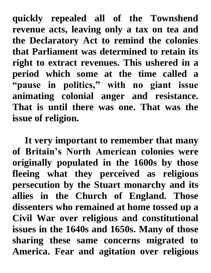**quickly repealed all of the Townshend revenue acts, leaving only a tax on tea and the Declaratory Act to remind the colonies that Parliament was determined to retain its right to extract revenues. This ushered in a period which some at the time called a "pause in politics," with no giant issue animating colonial anger and resistance. That is until there was one. That was the issue of religion.** 

**It very important to remember that many of Britain's North American colonies were originally populated in the 1600s by those fleeing what they perceived as religious persecution by the Stuart monarchy and its allies in the Church of England. Those dissenters who remained at home tossed up a Civil War over religious and constitutional issues in the 1640s and 1650s. Many of those sharing these same concerns migrated to America. Fear and agitation over religious**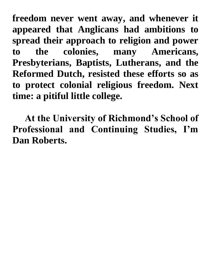**freedom never went away, and whenever it appeared that Anglicans had ambitions to spread their approach to religion and power to the colonies, many Americans, Presbyterians, Baptists, Lutherans, and the Reformed Dutch, resisted these efforts so as to protect colonial religious freedom. Next time: a pitiful little college.**

**At the University of Richmond's School of Professional and Continuing Studies, I'm Dan Roberts.**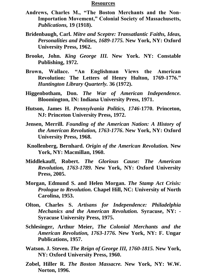## **Resources**

- **Andrews, Charles M., "The Boston Merchants and the Non-Importation Movement," Colonial Society of Massachusetts,**  *Publications,* **19 (1918).**
- **Bridenbaugh, Carl.** *Mitre and Sceptre: Transatlantic Faiths, Ideas, Personalities and Polities, 1689-1775.* **New York, NY: Oxford University Press, 1962.**
- **Brooke, John.** *King George III.* **New York. NY: Constable Publishing, 1972.**
- **Brown, Wallace. "An Englishman Views the American Revolution: The Letters of Henry Hulton, 1769-1776."**  *Huntington Library Quarterly.* **36 (1972).**
- **Higgenbotham, Don.** *The War of American Independence.*  **Bloomington, IN: Indiana University Press, 1971.**
- **Hutson, James H.** *Pennsylvania Politics, 1746-***1770. Princeton, NJ: Princeton University Press, 1972.**
- **Jensen, Merrill.** *Founding of the American Nation: A History of the American Revolution, 1763-1776***. New York, NY: Oxford University Press, 1968.**
- **Knollenberg, Bernhard.** *Origin of the American Revolution.* **New York, NY: Macmillan, 1960.**
- **Middlekauff, Robert.** *The Glorious Cause: The American Revolution, 1763-1789.* **New York, NY: Oxford University Press, 2005.**
- **Morgan, Edmund S. and Helen Morgan.** *The Stamp Act Crisis: Prologue to Revolution.* **Chapel Hill, NC: University of North Carolina, 1953.**
- **Olton, Charles S.** *Artisans for Independence: Philadelphia Mechanics and the American Revolution.* **Syracuse, NY: - Syracuse University Press, 1975.**
- **Schlesinger, Arthur Meier,** *The Colonial Merchants and the American Revolution, 1763-1776.* **New York, NY: F. Ungar Publications, 1957.**
- **Watson. J. Steven.** *The Reign of George III, 1760-1815.* **New York, NY: Oxford University Press, 1960.**
- **Zobel, Hiller R.** *The Boston Massacre.* **New York, NY: W.W. Norton, 1996.**